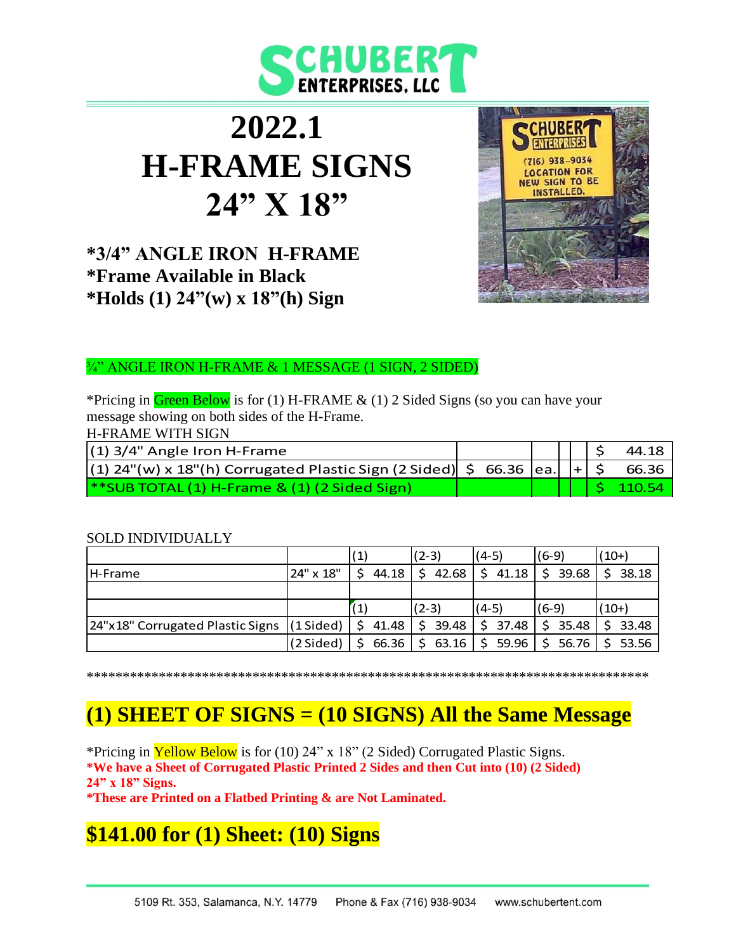

# **2022.1 H-FRAME SIGNS 24" X 18"**

### **\*3/4" ANGLE IRON H-FRAME \*Frame Available in Black \*Holds (1) 24"(w) x 18"(h) Sign**



### ¾" ANGLE IRON H-FRAME & 1 MESSAGE (1 SIGN, 2 SIDED)

\*Pricing in Green Below is for (1) H-FRAME & (1) 2 Sided Signs (so you can have your message showing on both sides of the H-Frame.

H-FRAME WITH SIGN

| $(1)$ 3/4" Angle Iron H-Frame                                                      |  |  |  | 44.18        |
|------------------------------------------------------------------------------------|--|--|--|--------------|
| $ (1)$ 24"(w) x 18"(h) Corrugated Plastic Sign (2 Sided) $ 56.36 $ ea. $ + 56.36 $ |  |  |  |              |
| $\ast$ SUB TOTAL (1) H-Frame & (1) (2 Sided Sign)                                  |  |  |  | $5 \t110.54$ |

#### SOLD INDIVIDUALLY

|                                  |                     | (1)         | $(2-3)$     | $(4-5)$     | $(6-9)$     | $(10+)$     |
|----------------------------------|---------------------|-------------|-------------|-------------|-------------|-------------|
| <b>IH-Frame</b>                  | 24" x 18"           | 44.18       | 42.68       | \$<br>41.18 | Š.<br>39.68 | <.<br>38.18 |
|                                  |                     |             |             |             |             |             |
|                                  |                     |             | $(2-3)$     | $(4-5)$     | $(6-9)$     | $(10+)$     |
| 24"x18" Corrugated Plastic Signs | $(1 \text{ Sided})$ | S.<br>41.48 | Ś.<br>39.48 | \$37.48     | 35.48       | 33.48       |
|                                  | (2 Sided)           | 66.36       | 63.16       | 59.96       | 56.76       | 53.56       |

\*\*\*\*\*\*\*\*\*\*\*\*\*\*\*\*\*\*\*\*\*\*\*\*\*\*\*\*\*\*\*\*\*\*\*\*\*\*\*\*\*\*\*\*\*\*\*\*\*\*\*\*\*\*\*\*\*\*\*\*\*\*\*\*\*\*\*\*\*\*\*\*\*\*\*\*\*\*

## **(1) SHEET OF SIGNS = (10 SIGNS) All the Same Message**

\*Pricing in **Yellow Below** is for (10) 24" x 18" (2 Sided) Corrugated Plastic Signs. **\*We have a Sheet of Corrugated Plastic Printed 2 Sides and then Cut into (10) (2 Sided) 24" x 18" Signs.**

**\*These are Printed on a Flatbed Printing & are Not Laminated.**

## **\$141.00 for (1) Sheet: (10) Signs**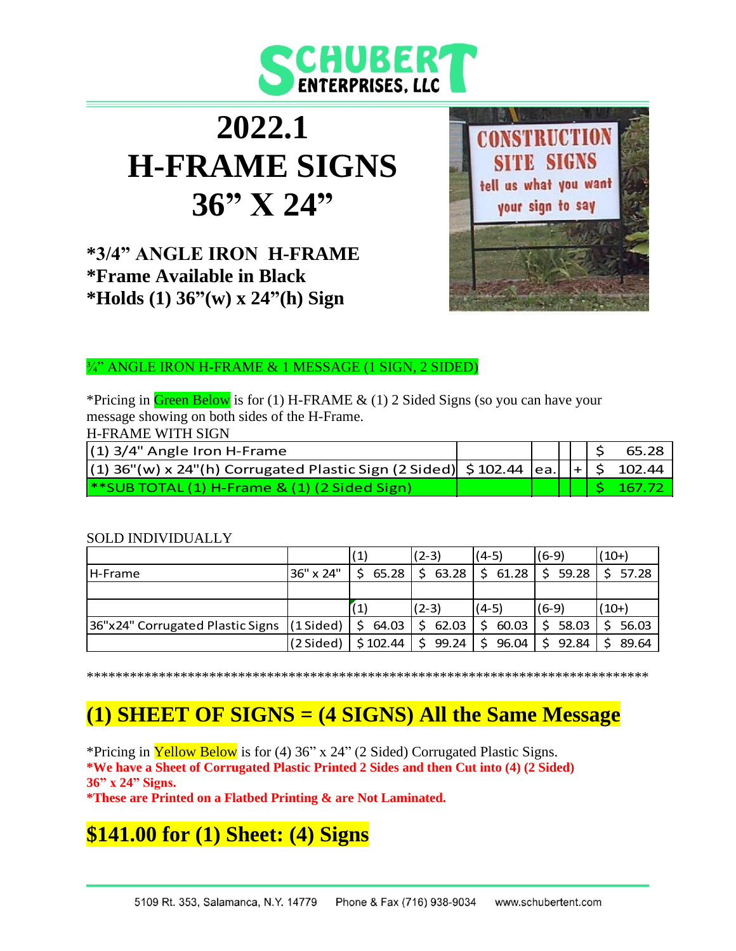

# **2022.1 H-FRAME SIGNS 36" X 24"**

**\*3/4" ANGLE IRON H-FRAME \*Frame Available in Black \*Holds (1) 36"(w) x 24"(h) Sign**



¾" ANGLE IRON H-FRAME & 1 MESSAGE (1 SIGN, 2 SIDED)

\*Pricing in Green Below is for (1) H-FRAME & (1) 2 Sided Signs (so you can have your message showing on both sides of the H-Frame.

H-FRAME WITH SIGN

| $(1)$ 3/4" Angle Iron H-Frame                                                                              |  |  | $  $ $ $ \$ 65.28         |
|------------------------------------------------------------------------------------------------------------|--|--|---------------------------|
| $ (1)$ 36"(w) x 24"(h) Corrugated Plastic Sign (2 Sided) $ $ \$ 102.44 $ $ ea. $ $ $ $ + $ $ \$ 102.44 $ $ |  |  |                           |
| $*$ SUB TOTAL (1) H-Frame & (1) (2 Sided Sign)                                                             |  |  | $\vert$ \$ 167.72 $\vert$ |

#### SOLD INDIVIDUALLY

|                                  |                     | (1)        | $(2-3)$               | $(4-5)$ | $(6-9)$ | $(10+)$ |
|----------------------------------|---------------------|------------|-----------------------|---------|---------|---------|
| <b>IH-Frame</b>                  | 36" x 24"           | 65.28      | 63.28                 | 61.28   | \$59.28 | \$57.28 |
|                                  |                     |            |                       |         |         |         |
|                                  |                     |            | $(2-3)$               | $(4-5)$ | $(6-9)$ | $(10+)$ |
| 36"x24" Corrugated Plastic Signs | $(1 \text{ Sided})$ | 64.03<br>Ŝ | 62.03<br>Ŝ.           | 60.03   | 58.03   | 56.03   |
|                                  | (2 Sided)           | \$102.44   | 99.24<br><sup>S</sup> | 96.04   | 92.84   | 89.64   |

\*\*\*\*\*\*\*\*\*\*\*\*\*\*\*\*\*\*\*\*\*\*\*\*\*\*\*\*\*\*\*\*\*\*\*\*\*\*\*\*\*\*\*\*\*\*\*\*\*\*\*\*\*\*\*\*\*\*\*\*\*\*\*\*\*\*\*\*\*\*\*\*\*\*\*\*\*\*

## **(1) SHEET OF SIGNS = (4 SIGNS) All the Same Message**

\*Pricing in **Yellow Below** is for (4) 36" x 24" (2 Sided) Corrugated Plastic Signs. **\*We have a Sheet of Corrugated Plastic Printed 2 Sides and then Cut into (4) (2 Sided) 36" x 24" Signs.**

**\*These are Printed on a Flatbed Printing & are Not Laminated.**

## **\$141.00 for (1) Sheet: (4) Signs**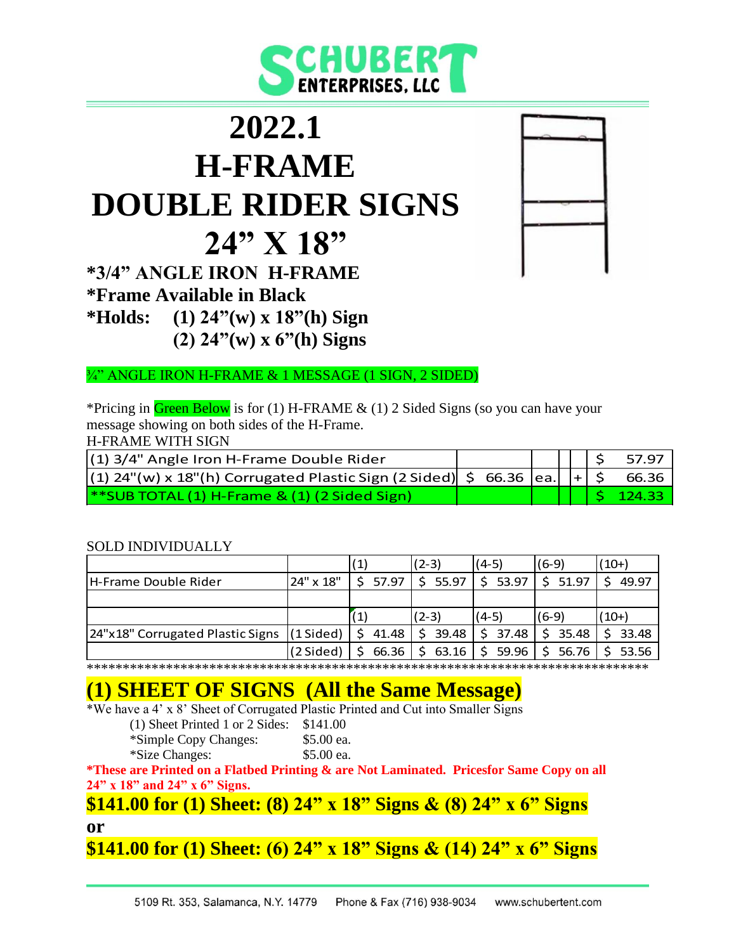

# **2022.1 H-FRAME DOUBLE RIDER SIGNS 24" X 18"**

**\*3/4" ANGLE IRON H-FRAME \*Frame Available in Black \*Holds: (1) 24"(w) x 18"(h) Sign (2) 24"(w) x 6"(h) Signs**

¾" ANGLE IRON H-FRAME & 1 MESSAGE (1 SIGN, 2 SIDED)

\*Pricing in Green Below is for (1) H-FRAME & (1) 2 Sided Signs (so you can have your message showing on both sides of the H-Frame.

H-FRAME WITH SIGN

| $(1)$ 3/4" Angle Iron H-Frame Double Rider                                                      |  |  |  | $   \cdot   $ \$ 57.97 |
|-------------------------------------------------------------------------------------------------|--|--|--|------------------------|
| $ (1)$ 24"(w) x 18"(h) Corrugated Plastic Sign (2 Sided) $  \sin 66.36$ ea. $  +   \sin 66.36 $ |  |  |  |                        |
| $\frac{4}{8}$ SUB TOTAL (1) H-Frame & (1) (2 Sided Sign)                                        |  |  |  | $ $ \$ 124.33          |

#### SOLD INDIVIDUALLY

|                                             |           |       | $(2-3)$     | $(4-5)$                                  | $(6-9)$ | $(10+)$ |
|---------------------------------------------|-----------|-------|-------------|------------------------------------------|---------|---------|
| <b>H-Frame Double Rider</b>                 | 24" x 18" | 57.97 | \$55.97     | \$53.97                                  | \$51.97 | 49.97   |
|                                             |           |       |             |                                          |         |         |
|                                             |           |       | $(2-3)$     | $(4-5)$                                  | $(6-9)$ | $(10+)$ |
| 24"x18" Corrugated Plastic Signs  (1 Sided) |           | 41.48 | 39.48<br>S. | \$37.48                                  | 35.48   | 33.48   |
|                                             | (2 Sided) | 66.36 |             | $63.16$   \$ 59.96   \$ 56.76   \$ 53.56 |         |         |

\*\*\*\*\*\*\*\*\*\*\*\*\*\*\*\*\*\*\*\*\*\*\*\*\*\*\*\*\*\*\*\*\*\*\*\*\*\*\*\*\*\*\*\*\*\*\*\*\*\*\*\*\*\*\*\*\*\*\*\*\*\*\*\*\*\*\*\*\*\*\*\*\*\*\*\*\*\*

## **(1) SHEET OF SIGNS (All the Same Message)**

\*We have a 4' x 8' Sheet of Corrugated Plastic Printed and Cut into Smaller Signs

| (1) Sheet Printed 1 or 2 Sides: $$141.00$ |  |  |
|-------------------------------------------|--|--|

- \*Simple Copy Changes: \$5.00 ea.
	-

\*Size Changes: \$5.00 ea.

**\*These are Printed on a Flatbed Printing & are Not Laminated. Pricesfor Same Copy on all 24" x 18" and 24" x 6" Signs.**

### **\$141.00 for (1) Sheet: (8) 24" x 18" Signs & (8) 24" x 6" Signs**

#### **or**

### **\$141.00 for (1) Sheet: (6) 24" x 18" Signs & (14) 24" x 6" Signs**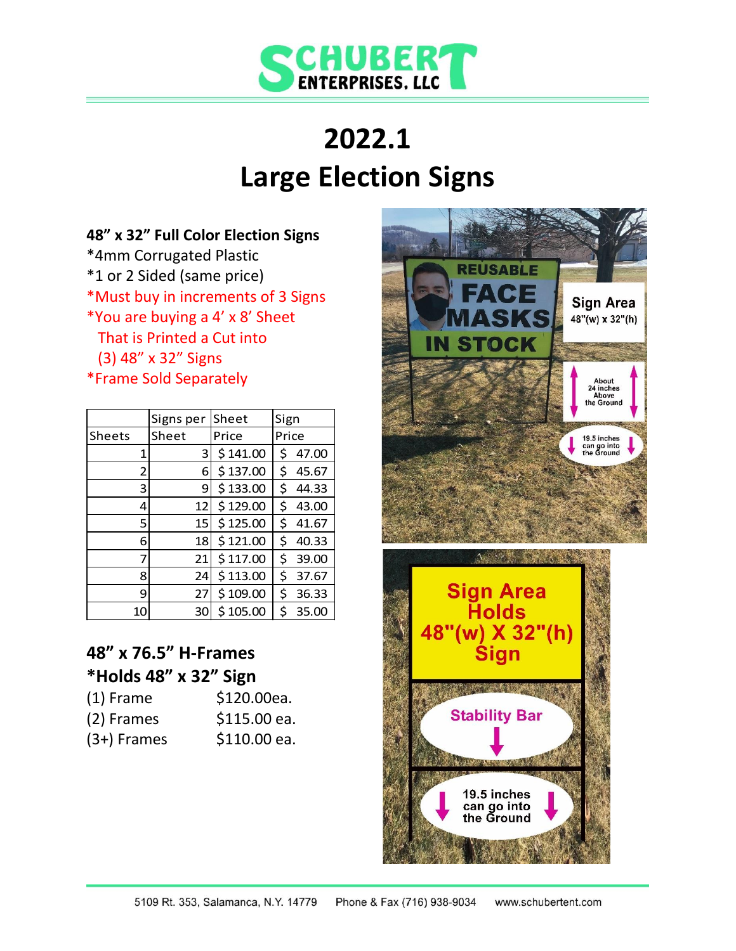

# **2022.1 Large Election Signs**

### **48" x 32" Full Color Election Signs**

\*4mm Corrugated Plastic \*1 or 2 Sided (same price) \*Must buy in increments of 3 Signs \*You are buying a 4' x 8' Sheet That is Printed a Cut into (3) 48" x 32" Signs \*Frame Sold Separately

|        | Signs per | Sheet    | Sign        |
|--------|-----------|----------|-------------|
| Sheets | Sheet     | Price    | Price       |
| 1      | 3         | \$141.00 | Ś<br>47.00  |
| 2      | 6         | \$137.00 | \$<br>45.67 |
| 3      | 9         | \$133.00 | \$<br>44.33 |
| 4      | 12        | \$129.00 | \$<br>43.00 |
| 5      | 15I       | \$125.00 | \$<br>41.67 |
| 6      | 18        | \$121.00 | \$<br>40.33 |
| 7      | 21        | \$117.00 | \$<br>39.00 |
| 8      | 24        | \$113.00 | \$<br>37.67 |
| 9      | 27        | \$109.00 | \$<br>36.33 |
| 10     | 30        | \$105.00 | Ś<br>35.00  |

## **48" x 76.5" H-Frames \*Holds 48" x 32" Sign**

| $(1)$ Frame   | \$120.00ea.  |
|---------------|--------------|
| (2) Frames    | \$115.00 ea. |
| $(3+)$ Frames | \$110.00 ea. |